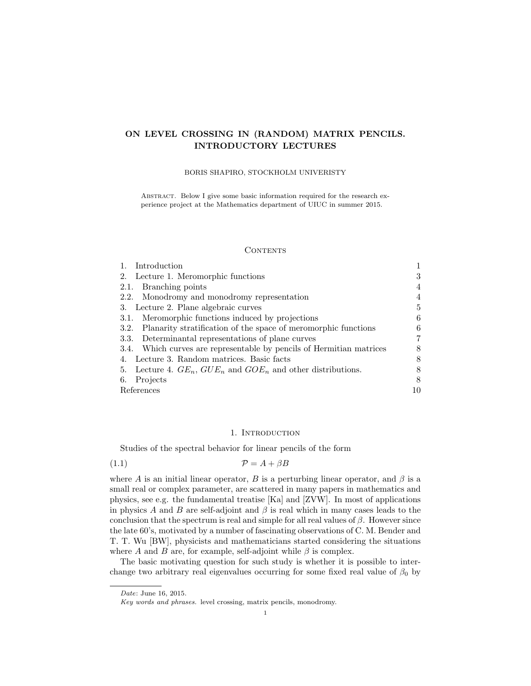# ON LEVEL CROSSING IN (RANDOM) MATRIX PENCILS. INTRODUCTORY LECTURES

# BORIS SHAPIRO, STOCKHOLM UNIVERISTY

ABSTRACT. Below I give some basic information required for the research experience project at the Mathematics department of UIUC in summer 2015.

#### CONTENTS

| Introduction                                                         |   |
|----------------------------------------------------------------------|---|
| Lecture 1. Meromorphic functions<br>2.                               | 3 |
| 2.1. Branching points                                                | 4 |
| 2.2. Monodromy and monodromy representation                          | 4 |
| 3. Lecture 2. Plane algebraic curves                                 | 5 |
| 3.1. Meromorphic functions induced by projections                    | 6 |
| 3.2. Planarity stratification of the space of meromorphic functions  | 6 |
| 3.3. Determinantal representations of plane curves                   | 7 |
| 3.4. Which curves are representable by pencils of Hermitian matrices |   |
| Lecture 3. Random matrices. Basic facts<br>4.                        | 8 |
| 5. Lecture 4. $GE_n$ , $GUE_n$ and $GOE_n$ and other distributions.  | 8 |
| Projects<br>6.                                                       | 8 |
| References                                                           |   |

## 1. INTRODUCTION

Studies of the spectral behavior for linear pencils of the form

(1.1)  $\mathcal{P} = A + \beta B$ 

where A is an initial linear operator, B is a perturbing linear operator, and  $\beta$  is a small real or complex parameter, are scattered in many papers in mathematics and physics, see e.g. the fundamental treatise [Ka] and [ZVW]. In most of applications in physics A and B are self-adjoint and  $\beta$  is real which in many cases leads to the conclusion that the spectrum is real and simple for all real values of  $\beta$ . However since the late 60's, motivated by a number of fascinating observations of C. M. Bender and T. T. Wu [BW], physicists and mathematicians started considering the situations where A and B are, for example, self-adjoint while  $\beta$  is complex.

The basic motivating question for such study is whether it is possible to interchange two arbitrary real eigenvalues occurring for some fixed real value of  $\beta_0$  by

Date: June 16, 2015.

Key words and phrases. level crossing, matrix pencils, monodromy.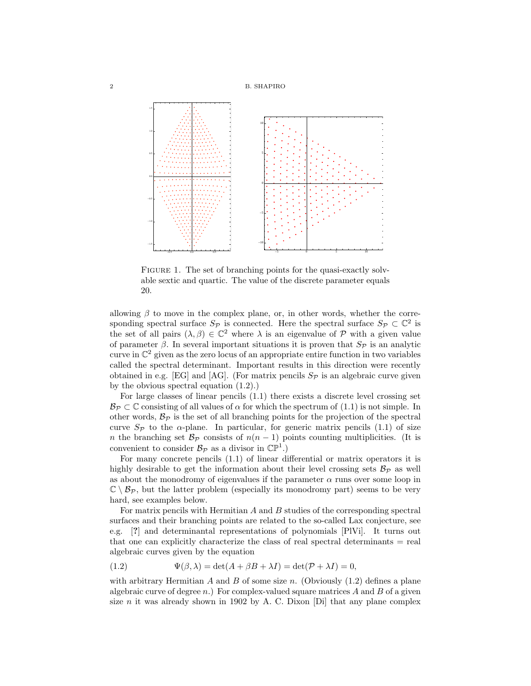2 B. SHAPIRO



FIGURE 1. The set of branching points for the quasi-exactly solvable sextic and quartic. The value of the discrete parameter equals 20.

allowing  $\beta$  to move in the complex plane, or, in other words, whether the corresponding spectral surface  $S_{\mathcal{P}}$  is connected. Here the spectral surface  $S_{\mathcal{P}} \subset \mathbb{C}^2$  is the set of all pairs  $(\lambda, \beta) \in \mathbb{C}^2$  where  $\lambda$  is an eigenvalue of P with a given value of parameter  $\beta$ . In several important situations it is proven that  $S_{\mathcal{P}}$  is an analytic curve in  $\mathbb{C}^2$  given as the zero locus of an appropriate entire function in two variables called the spectral determinant. Important results in this direction were recently obtained in e.g. [EG] and [AG]. (For matrix pencils  $S_{\mathcal{P}}$  is an algebraic curve given by the obvious spectral equation (1.2).)

For large classes of linear pencils (1.1) there exists a discrete level crossing set  $\mathcal{B}_{\mathcal{P}} \subset \mathbb{C}$  consisting of all values of  $\alpha$  for which the spectrum of  $(1.1)$  is not simple. In other words,  $\mathcal{B}_{\mathcal{P}}$  is the set of all branching points for the projection of the spectral curve  $S_{\mathcal{P}}$  to the  $\alpha$ -plane. In particular, for generic matrix pencils (1.1) of size n the branching set  $\mathcal{B}_{\mathcal{P}}$  consists of  $n(n-1)$  points counting multiplicities. (It is convenient to consider  $\mathcal{B}_{\mathcal{P}}$  as a divisor in  $\mathbb{CP}^1$ .)

For many concrete pencils (1.1) of linear differential or matrix operators it is highly desirable to get the information about their level crossing sets  $\mathcal{B}_{\mathcal{P}}$  as well as about the monodromy of eigenvalues if the parameter  $\alpha$  runs over some loop in  $\mathbb{C} \setminus \mathcal{B}_{\mathcal{P}}$ , but the latter problem (especially its monodromy part) seems to be very hard, see examples below.

For matrix pencils with Hermitian  $A$  and  $B$  studies of the corresponding spectral surfaces and their branching points are related to the so-called Lax conjecture, see e.g. [?] and determinantal representations of polynomials [PlVi]. It turns out that one can explicitly characterize the class of real spectral determinants = real algebraic curves given by the equation

(1.2) 
$$
\Psi(\beta,\lambda) = \det(A + \beta B + \lambda I) = \det(\mathcal{P} + \lambda I) = 0,
$$

with arbitrary Hermitian  $A$  and  $B$  of some size n. (Obviously  $(1.2)$  defines a plane algebraic curve of degree  $n$ .) For complex-valued square matrices  $A$  and  $B$  of a given size n it was already shown in 1902 by A. C. Dixon [Di] that any plane complex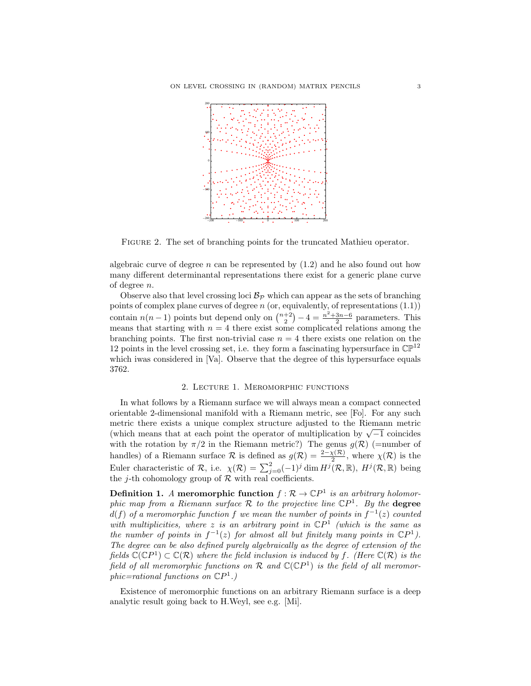

Figure 2. The set of branching points for the truncated Mathieu operator.

algebraic curve of degree n can be represented by  $(1.2)$  and he also found out how many different determinantal representations there exist for a generic plane curve of degree n.

Observe also that level crossing loci  $B_{\mathcal{P}}$  which can appear as the sets of branching points of complex plane curves of degree  $n$  (or, equivalently, of representations  $(1.1)$ ) contain  $n(n-1)$  points but depend only on  $\binom{n+2}{2} - 4 = \frac{n^2 + 3n - 6}{2}$  parameters. This means that starting with  $n = 4$  there exist some complicated relations among the branching points. The first non-trivial case  $n = 4$  there exists one relation on the 12 points in the level crossing set, i.e. they form a fascinating hypersurface in  $\mathbb{CP}^{12}$ which iwas considered in [Va]. Observe that the degree of this hypersurface equals 3762.

# 2. Lecture 1. Meromorphic functions

In what follows by a Riemann surface we will always mean a compact connected orientable 2-dimensional manifold with a Riemann metric, see [Fo]. For any such metric there exists a unique complex structure adjusted to the Riemann metric metric there exists a unique complex structure adjusted to the Kiemann metric (which means that at each point the operator of multiplication by  $\sqrt{-1}$  coincides with the rotation by  $\pi/2$  in the Riemann metric?) The genus  $g(\mathcal{R})$  (=number of handles) of a Riemann surface  $\mathcal R$  is defined as  $g(\mathcal R) = \frac{2-\chi(\mathcal R)}{2}$ , where  $\chi(\mathcal R)$  is the Euler characteristic of R, i.e.  $\chi(\mathcal{R}) = \sum_{j=0}^{2} (-1)^{j} \dim H^{j}(\mathcal{R}, \mathbb{R}), H^{j}(\mathcal{R}, \mathbb{R})$  being the *j*-th cohomology group of  $R$  with real coefficients.

**Definition 1.** A meromorphic function  $f : \mathcal{R} \to \mathbb{C}P^1$  is an arbitrary holomorphic map from a Riemann surface R to the projective line  $\mathbb{C}P^1$ . By the **degree**  $d(f)$  of a meromorphic function f we mean the number of points in  $f^{-1}(z)$  counted with multiplicities, where z is an arbitrary point in  $\mathbb{C}P^1$  (which is the same as the number of points in  $f^{-1}(z)$  for almost all but finitely many points in  $\mathbb{C}P^1$ ). The degree can be also defined purely algebraically as the degree of extension of the fields  $\mathbb{C}(\mathbb{C}P^1) \subset \mathbb{C}(\mathcal{R})$  where the field inclusion is induced by f. (Here  $\mathbb{C}(\mathcal{R})$  is the field of all meromorphic functions on  $\mathcal R$  and  $\mathbb C(\mathbb C P^1)$  is the field of all meromorphic=rational functions on  $\mathbb{C}P^1$ .)

Existence of meromorphic functions on an arbitrary Riemann surface is a deep analytic result going back to H.Weyl, see e.g. [Mi].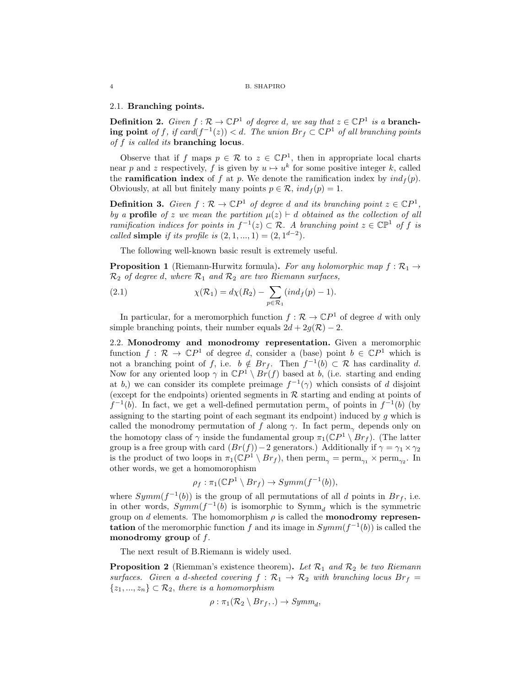## 2.1. Branching points.

**Definition 2.** Given  $f : \mathcal{R} \to \mathbb{C}P^1$  of degree d, we say that  $z \in \mathbb{C}P^1$  is a **branch**ing point of f, if card $(f^{-1}(z)) < d$ . The union  $Br_f \subset \mathbb{C}P^1$  of all branching points of f is called its branching locus.

Observe that if f maps  $p \in \mathcal{R}$  to  $z \in \mathbb{C}P^1$ , then in appropriate local charts near p and z respectively, f is given by  $u \mapsto u^k$  for some positive integer k, called the **ramification index** of f at p. We denote the ramification index by  $ind_f(p)$ . Obviously, at all but finitely many points  $p \in \mathcal{R}$ ,  $ind_f(p) = 1$ .

**Definition 3.** Given  $f : \mathcal{R} \to \mathbb{C}P^1$  of degree d and its branching point  $z \in \mathbb{C}P^1$ , by a **profile** of z we mean the partition  $\mu(z) \vdash d$  obtained as the collection of all ramification indices for points in  $f^{-1}(z) \subset \mathcal{R}$ . A branching point  $z \in \mathbb{CP}^1$  of f is called simple if its profile is  $(2, 1, ..., 1) = (2, 1^{d-2})$ .

The following well-known basic result is extremely useful.

**Proposition 1** (Riemann-Hurwitz formula). For any holomorphic map  $f : \mathcal{R}_1 \rightarrow$  $\mathcal{R}_2$  of degree d, where  $\mathcal{R}_1$  and  $\mathcal{R}_2$  are two Riemann surfaces,

(2.1) 
$$
\chi(\mathcal{R}_1) = d\chi(R_2) - \sum_{p \in \mathcal{R}_1} (ind_f(p) - 1).
$$

In particular, for a meromorphich function  $f : \mathcal{R} \to \mathbb{C}P^1$  of degree d with only simple branching points, their number equals  $2d + 2g(\mathcal{R}) - 2$ .

2.2. Monodromy and monodromy representation. Given a meromorphic function  $f: \mathcal{R} \to \mathbb{C}P^1$  of degree d, consider a (base) point  $b \in \mathbb{C}P^1$  which is not a branching point of f, i.e.  $b \notin Br_f$ . Then  $f^{-1}(b) \subset \mathcal{R}$  has cardinality d. Now for any oriented loop  $\gamma$  in  $\mathbb{C}P^1 \setminus Br(f)$  based at b, (i.e. starting and ending at b,) we can consider its complete preimage  $f^{-1}(\gamma)$  which consists of d disjoint (except for the endpoints) oriented segments in  $R$  starting and ending at points of  $f^{-1}(b)$ . In fact, we get a well-defined permutation perm<sub> $\gamma$ </sub> of points in  $f^{-1}(b)$  (by assigning to the starting point of each segmant its endpoint) induced by  $q$  which is called the monodromy permutation of f along  $\gamma$ . In fact perm<sub>γ</sub> depends only on the homotopy class of  $\gamma$  inside the fundamental group  $\pi_1(\mathbb{C}P^1 \setminus Br_f)$ . (The latter group is a free group with card  $(Br(f))-2$  generators.) Additionally if  $\gamma = \gamma_1 \times \gamma_2$ is the product of two loops in  $\pi_1(\mathbb{C}P^1 \setminus Br_f)$ , then  $\text{perm}_{\gamma} = \text{perm}_{\gamma_1} \times \text{perm}_{\gamma_2}$ . In other words, we get a homomorophism

$$
\rho_f: \pi_1(\mathbb{C}P^1 \setminus Br_f) \to Symm(f^{-1}(b)),
$$

where  $Symm(f^{-1}(b))$  is the group of all permutations of all d points in  $Br_f$ , i.e. in other words,  $Symm(f^{-1}(b))$  is isomorphic to  $Symm_d$  which is the symmetric group on d elements. The homomorphism  $\rho$  is called the **monodromy representation** of the meromorphic function f and its image in  $Symm(f^{-1}(b))$  is called the monodromy group of  $f$ .

The next result of B.Riemann is widely used.

**Proposition 2** (Riemman's existence theorem). Let  $\mathcal{R}_1$  and  $\mathcal{R}_2$  be two Riemann surfaces. Given a d-sheeted covering  $f : \mathcal{R}_1 \to \mathcal{R}_2$  with branching locus  $Br_f =$  $\{z_1, ..., z_n\} \subset \mathcal{R}_2$ , there is a homomorphism

$$
\rho: \pi_1(\mathcal{R}_2 \setminus Br_f,.) \to Symm_d,
$$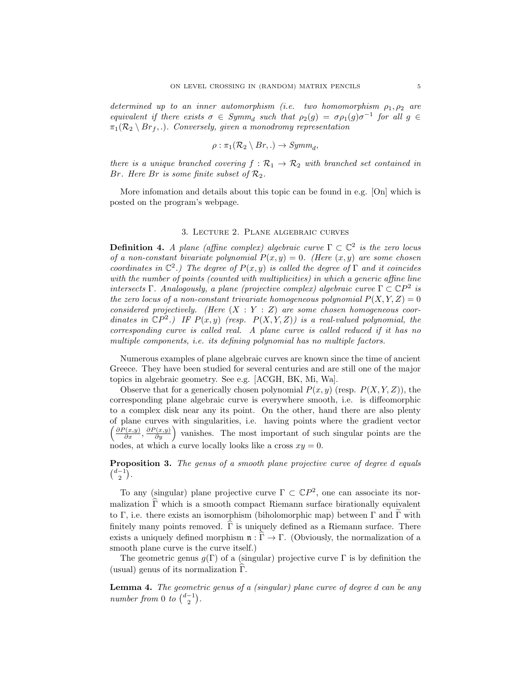determined up to an inner automorphism (i.e. two homomorphism  $\rho_1, \rho_2$  are equivalent if there exists  $\sigma \in Symm_d$  such that  $\rho_2(g) = \sigma \rho_1(g) \sigma^{-1}$  for all  $g \in$  $\pi_1(\mathcal{R}_2 \setminus Br_f, \ldots)$ . Conversely, given a monodromy representation

$$
\rho : \pi_1(\mathcal{R}_2 \setminus Br,.) \to Symm_d,
$$

there is a unique branched covering  $f : \mathcal{R}_1 \to \mathcal{R}_2$  with branched set contained in Br. Here Br is some finite subset of  $\mathcal{R}_2$ .

More infomation and details about this topic can be found in e.g. [On] which is posted on the program's webpage.

## 3. Lecture 2. Plane algebraic curves

**Definition 4.** A plane (affine complex) algebraic curve  $\Gamma \subset \mathbb{C}^2$  is the zero locus of a non-constant bivariate polynomial  $P(x, y) = 0$ . (Here  $(x, y)$  are some chosen coordinates in  $\mathbb{C}^2$ .) The degree of  $P(x, y)$  is called the degree of  $\Gamma$  and it coincides with the number of points (counted with multiplicities) in which a generic affine line intersects Γ. Analogously, a plane (projective complex) algebraic curve  $\Gamma \subset \mathbb{C}P^2$  is the zero locus of a non-constant trivariate homogeneous polynomial  $P(X, Y, Z) = 0$ considered projectively. (Here  $(X : Y : Z)$  are some chosen homogeneous coordinates in  $\mathbb{C}P^2$ .) IF  $P(x, y)$  (resp.  $P(X, Y, Z)$ ) is a real-valued polynomial, the corresponding curve is called real. A plane curve is called reduced if it has no multiple components, i.e. its defining polynomial has no multiple factors.

Numerous examples of plane algebraic curves are known since the time of ancient Greece. They have been studied for several centuries and are still one of the major topics in algebraic geometry. See e.g. [ACGH, BK, Mi, Wa].

Observe that for a generically chosen polynomial  $P(x, y)$  (resp.  $P(X, Y, Z)$ ), the corresponding plane algebraic curve is everywhere smooth, i.e. is diffeomorphic to a complex disk near any its point. On the other, hand there are also plenty of plane curves with singularities, i.e. having points where the gradient vector  $\left(\frac{\partial P(x,y)}{\partial x}, \frac{\partial P(x,y)}{\partial y}\right)$  vanishes. The most important of such singular points are the nodes, at which a curve locally looks like a cross  $xy = 0$ .

**Proposition 3.** The genus of a smooth plane projective curve of degree d equals  $\binom{d-1}{2}$ .

To any (singular) plane projective curve  $\Gamma \subset \mathbb{C}P^2$ , one can associate its normalization  $\widehat{\Gamma}$  which is a smooth compact Riemann surface birationally equivalent to Γ, i.e. there exists an isomorphism (biholomorphic map) between  $\Gamma$  and  $\widetilde{\Gamma}$  with finitely many points removed.  $\hat{\Gamma}$  is uniquely defined as a Riemann surface. There exists a uniquely defined morphism  $\mathfrak{n} : \hat{\Gamma} \to \Gamma$ . (Obviously, the normalization of a smooth plane curve is the curve itself.)

The geometric genus  $g(\Gamma)$  of a (singular) projective curve  $\Gamma$  is by definition the (usual) genus of its normalization  $\Gamma$ .

Lemma 4. The geometric genus of a (singular) plane curve of degree d can be any number from 0 to  $\binom{d-1}{2}$ .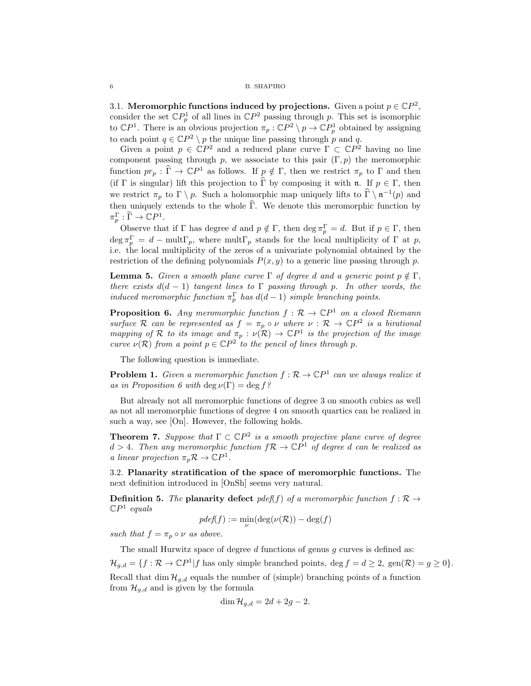3.1. Meromorphic functions induced by projections. Given a point  $p \in \mathbb{C}P^2$ , consider the set  $\mathbb{C}P_p^1$  of all lines in  $\mathbb{C}P^2$  passing through p. This set is isomorphic to  $\mathbb{C}P^1$ . There is an obvious projection  $\pi_p : \mathbb{C}P^2 \setminus p \to \mathbb{C}P_p^1$  obtained by assigning to each point  $q \in \mathbb{C}P^2 \setminus p$  the unique line passing through p and q.

Given a point  $p \in \mathbb{C}P^2$  and a reduced plane curve  $\Gamma \subset \mathbb{C}P^2$  having no line component passing through p, we associate to this pair  $(\Gamma, p)$  the meromorphic function  $pr_p : \widehat{\Gamma} \to \mathbb{C}P^1$  as follows. If  $p \notin \Gamma$ , then we restrict  $\pi_p$  to  $\Gamma$  and then (if  $\Gamma$  is singular) lift this projection to  $\widehat{\Gamma}$  by composing it with **n**. If  $p \in \Gamma$ , then we restrict  $\pi_p$  to  $\Gamma \setminus p$ . Such a holomorphic map uniquely lifts to  $\widehat{\Gamma} \setminus \mathfrak{n}^{-1}(p)$  and then uniquely extends to the whole  $\widehat{\Gamma}$ . We denote this meromorphic function by  $\pi_p^{\Gamma}: \widetilde{\Gamma} \to \mathbb{C}P^1.$ 

Observe that if  $\Gamma$  has degree d and  $p \notin \Gamma$ , then deg  $\pi_p^{\Gamma} = d$ . But if  $p \in \Gamma$ , then  $\deg \pi_p^{\Gamma} = d - \text{mult}_{p}$ , where  $\text{mult}_{p}$  stands for the local multiplicity of  $\Gamma$  at p, i.e. the local multiplicity of the zeros of a univariate polynomial obtained by the restriction of the defining polynomials  $P(x, y)$  to a generic line passing through p.

**Lemma 5.** Given a smooth plane curve  $\Gamma$  of degree d and a generic point  $p \notin \Gamma$ , there exists  $d(d-1)$  tangent lines to Γ passing through p. In other words, the induced meromorphic function  $\pi_p^{\Gamma}$  has  $d(d-1)$  simple branching points.

**Proposition 6.** Any meromorphic function  $f : \mathcal{R} \to \mathbb{C}P^1$  on a closed Riemann surface R can be represented as  $f = \pi_p \circ \nu$  where  $\nu : \mathcal{R} \to \mathbb{C}P^2$  is a birational mapping of R to its image and  $\pi_p : \nu(R) \to \mathbb{C}P^1$  is the projection of the image curve  $\nu(\mathcal{R})$  from a point  $p \in \mathbb{C}P^2$  to the pencil of lines through p.

The following question is immediate.

**Problem 1.** Given a meromorphic function  $f : \mathcal{R} \to \mathbb{C}P^1$  can we always realize it as in Proposition 6 with deg  $\nu(\Gamma) = \deg f$ ?

But already not all meromorphic functions of degree 3 on smooth cubics as well as not all meromorphic functions of degree 4 on smooth quartics can be realized in such a way, see [On]. However, the following holds.

**Theorem 7.** Suppose that  $\Gamma \subset \mathbb{C}P^2$  is a smooth projective plane curve of degree  $d > 4$ . Then any meromorphic function  $f \mathcal{R} \to \mathbb{C}P^1$  of degree d can be realized as a linear projection  $\pi_p \mathcal{R} \to \mathbb{C}P^1$ .

3.2. Planarity stratification of the space of meromorphic functions. The next definition introduced in [OnSh] seems very natural.

**Definition 5.** The planarity defect pdef(f) of a meromorphic function  $f : \mathcal{R} \rightarrow$  $\mathbb{C}P^1$  equals

$$
pdef(f) := \min_{\nu} (\deg(\nu(\mathcal{R})) - \deg(f)
$$

such that  $f = \pi_p \circ \nu$  as above.

The small Hurwitz space of degree  $d$  functions of genus  $q$  curves is defined as:  $\mathcal{H}_{g,d} = \{f : \mathcal{R} \to \mathbb{C}P^1 | f \text{ has only simple branched points, } \deg f = d \geq 2, \text{ gen}(\mathcal{R}) = g \geq 0\}.$ Recall that  $\dim \mathcal{H}_{g,d}$  equals the number of (simple) branching points of a function from  $\mathcal{H}_{g,d}$  and is given by the formula

$$
\dim \mathcal{H}_{g,d} = 2d + 2g - 2.
$$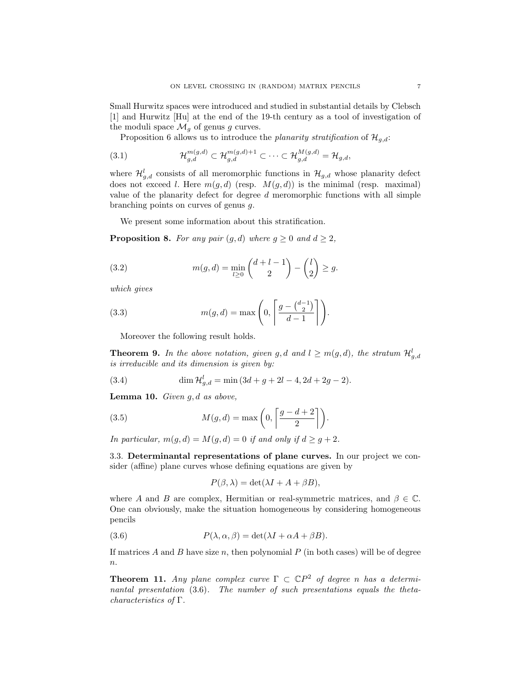Small Hurwitz spaces were introduced and studied in substantial details by Clebsch [1] and Hurwitz [Hu] at the end of the 19-th century as a tool of investigation of the moduli space  $\mathcal{M}_g$  of genus g curves.

Proposition 6 allows us to introduce the planarity stratification of  $\mathcal{H}_{q,d}$ :

(3.1) 
$$
\mathcal{H}_{g,d}^{m(g,d)} \subset \mathcal{H}_{g,d}^{m(g,d)+1} \subset \cdots \subset \mathcal{H}_{g,d}^{M(g,d)} = \mathcal{H}_{g,d},
$$

where  $\mathcal{H}_{g,d}^{l}$  consists of all meromorphic functions in  $\mathcal{H}_{g,d}$  whose planarity defect does not exceed l. Here  $m(q, d)$  (resp.  $M(q, d)$ ) is the minimal (resp. maximal) value of the planarity defect for degree  $d$  meromorphic functions with all simple branching points on curves of genus g.

We present some information about this stratification.

**Proposition 8.** For any pair  $(g, d)$  where  $g \ge 0$  and  $d \ge 2$ ,

(3.2) 
$$
m(g, d) = \min_{l \geq 0} {d + l - 1 \choose 2} - {l \choose 2} \geq g.
$$

which gives

(3.3) 
$$
m(g, d) = \max\left(0, \left\lceil \frac{g - \binom{d-1}{2}}{d-1} \right\rceil\right).
$$

Moreover the following result holds.

**Theorem 9.** In the above notation, given g, d and  $l \geq m(g,d)$ , the stratum  $\mathcal{H}_{g,d}^l$ is irreducible and its dimension is given by:

(3.4) 
$$
\dim \mathcal{H}_{g,d}^l = \min (3d + g + 2l - 4, 2d + 2g - 2).
$$

**Lemma 10.** Given  $g, d$  as above,

(3.5) 
$$
M(g, d) = \max\left(0, \left\lceil \frac{g - d + 2}{2} \right\rceil\right).
$$

In particular,  $m(q, d) = M(q, d) = 0$  if and only if  $d \geq q + 2$ .

3.3. Determinantal representations of plane curves. In our project we consider (affine) plane curves whose defining equations are given by

$$
P(\beta, \lambda) = \det(\lambda I + A + \beta B),
$$

where A and B are complex, Hermitian or real-symmetric matrices, and  $\beta \in \mathbb{C}$ . One can obviously, make the situation homogeneous by considering homogeneous pencils

(3.6) 
$$
P(\lambda, \alpha, \beta) = \det(\lambda I + \alpha A + \beta B).
$$

If matrices  $A$  and  $B$  have size  $n$ , then polynomial  $P$  (in both cases) will be of degree  $\overline{n}$ .

**Theorem 11.** Any plane complex curve  $\Gamma \subset \mathbb{C}P^2$  of degree n has a determinantal presentation (3.6). The number of such presentations equals the thetacharacteristics of Γ.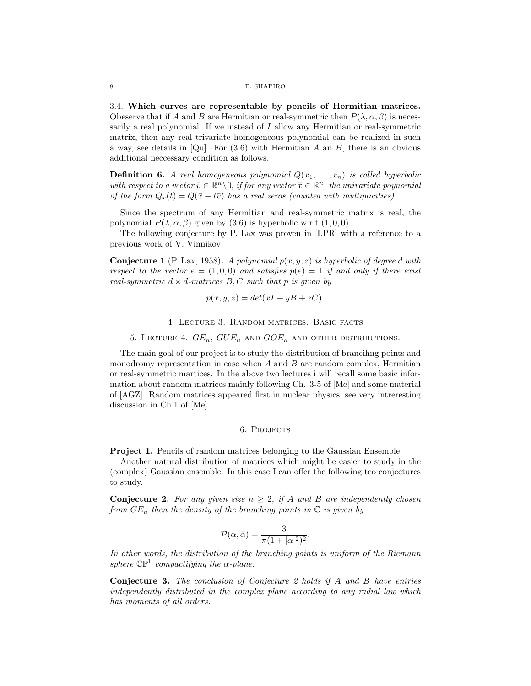#### 8 B. SHAPIRO

3.4. Which curves are representable by pencils of Hermitian matrices. Obeserve that if A and B are Hermitian or real-symmetric then  $P(\lambda, \alpha, \beta)$  is necessarily a real polynomial. If we instead of I allow any Hermitian or real-symmetric matrix, then any real trivariate homogeneous polynomial can be realized in such a way, see details in [Qu]. For  $(3.6)$  with Hermitian A an B, there is an obvious additional neccessary condition as follows.

**Definition 6.** A real homogeneous polynomial  $Q(x_1, \ldots, x_n)$  is called hyperbolic with respect to a vector  $\overline{v} \in \mathbb{R}^n \setminus 0$ , if for any vector  $\overline{x} \in \mathbb{R}^n$ , the univariate poynomial of the form  $Q_{\bar{x}}(t) = Q(\bar{x} + t\bar{v})$  has a real zeros (counted with multiplicities).

Since the spectrum of any Hermitian and real-symmetric matrix is real, the polynomial  $P(\lambda, \alpha, \beta)$  given by (3.6) is hyperbolic w.r.t  $(1, 0, 0)$ .

The following conjecture by P. Lax was proven in [LPR] with a reference to a previous work of V. Vinnikov.

**Conjecture 1** (P. Lax, 1958). A polynomial  $p(x, y, z)$  is hyperbolic of degree d with respect to the vector  $e = (1, 0, 0)$  and satisfies  $p(e) = 1$  if and only if there exist real-symmetric  $d \times d$ -matrices  $B, C$  such that p is given by

$$
p(x, y, z) = det(xI + yB + zC).
$$

4. Lecture 3. Random matrices. Basic facts

5. LECTURE 4.  $GE_n$ ,  $GUE_n$  and  $GOE_n$  and other distributions.

The main goal of our project is to study the distribution of brancihng points and monodromy representation in case when  $A$  and  $B$  are random complex, Hermitian or real-symmetric martices. In the above two lectures i will recall some basic information about random matrices mainly following Ch. 3-5 of [Me] and some material of [AGZ]. Random matrices appeared first in nuclear physics, see very intreresting discussion in Ch.1 of [Me].

## 6. PROJECTS

Project 1. Pencils of random matrices belonging to the Gaussian Ensemble.

Another natural distribution of matrices which might be easier to study in the (complex) Gaussian ensemble. In this case I can offer the following teo conjectures to study.

**Conjecture 2.** For any given size  $n \geq 2$ , if A and B are independently chosen from  $GE_n$  then the density of the branching points in  $\mathbb C$  is given by

$$
\mathcal{P}(\alpha,\bar{\alpha}) = \frac{3}{\pi(1+|\alpha|^2)^2}.
$$

In other words, the distribution of the branching points is uniform of the Riemann sphere  $\mathbb{CP}^1$  compactifying the  $\alpha$ -plane.

Conjecture 3. The conclusion of Conjecture 2 holds if A and B have entries independently distributed in the complex plane according to any radial law which has moments of all orders.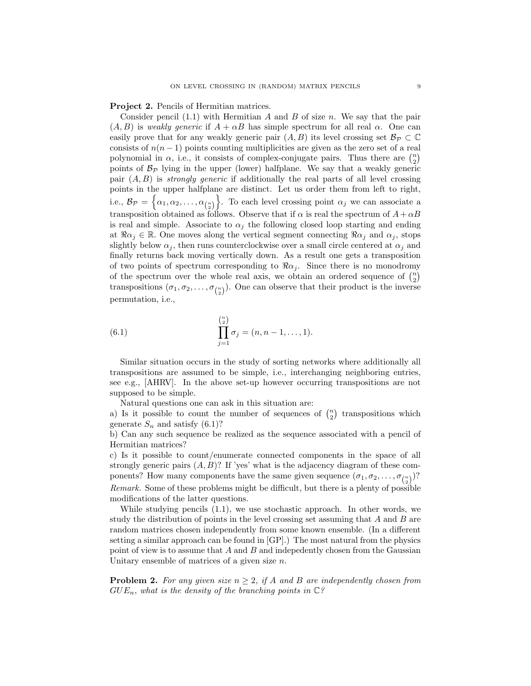Project 2. Pencils of Hermitian matrices.

Consider pencil  $(1.1)$  with Hermitian A and B of size n. We say that the pair  $(A, B)$  is weakly generic if  $A + \alpha B$  has simple spectrum for all real  $\alpha$ . One can easily prove that for any weakly generic pair  $(A, B)$  its level crossing set  $\mathcal{B}_{\mathcal{P}} \subset \mathbb{C}$ consists of  $n(n-1)$  points counting multiplicities are given as the zero set of a real polynomial in  $\alpha$ , i.e., it consists of complex-conjugate pairs. Thus there are  $\binom{n}{2}$ points of  $\mathcal{B}_{\mathcal{P}}$  lying in the upper (lower) halfplane. We say that a weakly generic pair  $(A, B)$  is *strongly generic* if additionally the real parts of all level crossing points in the upper halfplane are distinct. Let us order them from left to right, i.e.,  $\mathcal{B}_{\mathcal{P}} = \left\{ \alpha_1, \alpha_2, \ldots, \alpha_{\binom{n}{2}} \right\}$ . To each level crossing point  $\alpha_j$  we can associate a transposition obtained as follows. Observe that if  $\alpha$  is real the spectrum of  $A + \alpha B$ is real and simple. Associate to  $\alpha_i$  the following closed loop starting and ending at  $\Re \alpha_j \in \mathbb{R}$ . One moves along the vertical segment connecting  $\Re \alpha_j$  and  $\alpha_j$ , stops slightly below  $\alpha_j$ , then runs counterclockwise over a small circle centered at  $\alpha_j$  and finally returns back moving vertically down. As a result one gets a transposition of two points of spectrum corresponding to  $\Re \alpha_j$ . Since there is no monodromy of the spectrum over the whole real axis, we obtain an ordered sequence of  $\binom{n}{2}$ transpositions  $(\sigma_1, \sigma_2, \ldots, \sigma_{\binom{n}{2}})$ . One can observe that their product is the inverse permutation, i.e.,

(6.1) 
$$
\prod_{j=1}^{\binom{n}{2}} \sigma_j = (n, n-1, \dots, 1).
$$

Similar situation occurs in the study of sorting networks where additionally all transpositions are assumed to be simple, i.e., interchanging neighboring entries, see e.g., [AHRV]. In the above set-up however occurring transpositions are not supposed to be simple.

Natural questions one can ask in this situation are:

a) Is it possible to count the number of sequences of  $\binom{n}{2}$  transpositions which generate  $S_n$  and satisfy (6.1)?

b) Can any such sequence be realized as the sequence associated with a pencil of Hermitian matrices?

c) Is it possible to count/enumerate connected components in the space of all strongly generic pairs  $(A, B)$ ? If 'yes' what is the adjacency diagram of these components? How many components have the same given sequence  $(\sigma_1, \sigma_2, \ldots, \sigma_{\binom{n}{2}})$ ? Remark. Some of these problems might be difficult, but there is a plenty of possible modifications of the latter questions.

While studying pencils (1.1), we use stochastic approach. In other words, we study the distribution of points in the level crossing set assuming that A and B are random matrices chosen independently from some known ensemble. (In a different setting a similar approach can be found in [GP].) The most natural from the physics point of view is to assume that  $A$  and  $B$  and indepedently chosen from the Gaussian Unitary ensemble of matrices of a given size  $n$ .

**Problem 2.** For any given size  $n \geq 2$ , if A and B are independently chosen from  $GUE_n$ , what is the density of the branching points in  $\mathbb{C}$ ?